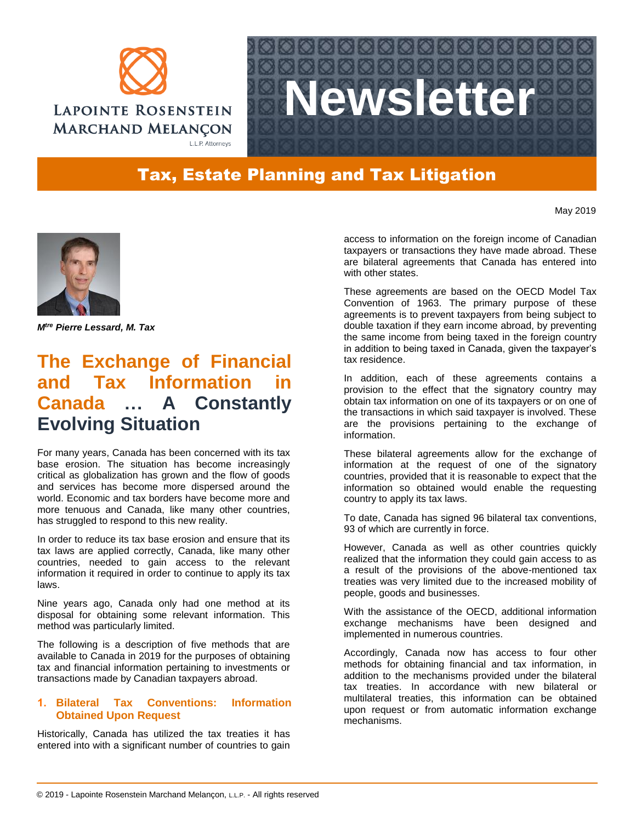



## Tax, Estate Planning and Tax Litigation

May 2019



*Mtre Pierre Lessard, M. Tax*

# **The Exchange of Financial and Tax Information in Canada … A Constantly Evolving Situation**

For many years, Canada has been concerned with its tax base erosion. The situation has become increasingly critical as globalization has grown and the flow of goods and services has become more dispersed around the world. Economic and tax borders have become more and more tenuous and Canada, like many other countries, has struggled to respond to this new reality.

In order to reduce its tax base erosion and ensure that its tax laws are applied correctly, Canada, like many other countries, needed to gain access to the relevant information it required in order to continue to apply its tax laws.

Nine years ago, Canada only had one method at its disposal for obtaining some relevant information. This method was particularly limited.

The following is a description of five methods that are available to Canada in 2019 for the purposes of obtaining tax and financial information pertaining to investments or transactions made by Canadian taxpayers abroad.

### **1. Bilateral Tax Conventions: Information Obtained Upon Request**

Historically, Canada has utilized the tax treaties it has entered into with a significant number of countries to gain access to information on the foreign income of Canadian taxpayers or transactions they have made abroad. These are bilateral agreements that Canada has entered into with other states.

These agreements are based on the OECD Model Tax Convention of 1963. The primary purpose of these agreements is to prevent taxpayers from being subject to double taxation if they earn income abroad, by preventing the same income from being taxed in the foreign country in addition to being taxed in Canada, given the taxpayer's tax residence.

In addition, each of these agreements contains a provision to the effect that the signatory country may obtain tax information on one of its taxpayers or on one of the transactions in which said taxpayer is involved. These are the provisions pertaining to the exchange of information.

These bilateral agreements allow for the exchange of information at the request of one of the signatory countries, provided that it is reasonable to expect that the information so obtained would enable the requesting country to apply its tax laws.

To date, Canada has signed 96 bilateral tax conventions, 93 of which are currently in force.

However, Canada as well as other countries quickly realized that the information they could gain access to as a result of the provisions of the above-mentioned tax treaties was very limited due to the increased mobility of people, goods and businesses.

With the assistance of the OECD, additional information exchange mechanisms have been designed and implemented in numerous countries.

Accordingly, Canada now has access to four other methods for obtaining financial and tax information, in addition to the mechanisms provided under the bilateral tax treaties. In accordance with new bilateral or multilateral treaties, this information can be obtained upon request or from automatic information exchange mechanisms.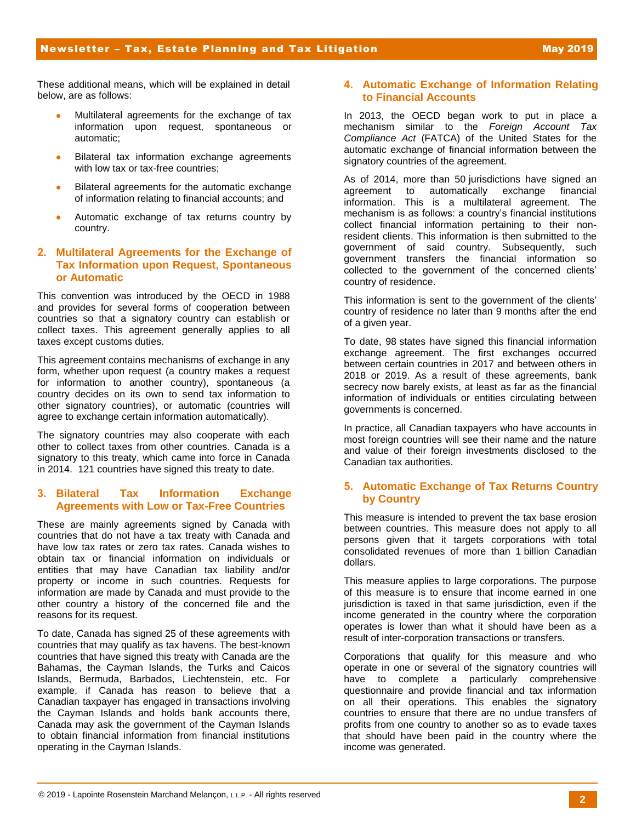These additional means, which will be explained in detail below, are as follows:

- Multilateral agreements for the exchange of tax information upon request, spontaneous or automatic;
- **•** Bilateral tax information exchange agreements with low tax or tax-free countries;
- Bilateral agreements for the automatic exchange of information relating to financial accounts; and
- Automatic exchange of tax returns country by country.

### **2. Multilateral Agreements for the Exchange of Tax Information upon Request, Spontaneous or Automatic**

This convention was introduced by the OECD in 1988 and provides for several forms of cooperation between countries so that a signatory country can establish or collect taxes. This agreement generally applies to all taxes except customs duties.

This agreement contains mechanisms of exchange in any form, whether upon request (a country makes a request for information to another country), spontaneous (a country decides on its own to send tax information to other signatory countries), or automatic (countries will agree to exchange certain information automatically).

The signatory countries may also cooperate with each other to collect taxes from other countries. Canada is a signatory to this treaty, which came into force in Canada in 2014. 121 countries have signed this treaty to date.

### **3. Bilateral Tax Information Exchange Agreements with Low or Tax-Free Countries**

These are mainly agreements signed by Canada with countries that do not have a tax treaty with Canada and have low tax rates or zero tax rates. Canada wishes to obtain tax or financial information on individuals or entities that may have Canadian tax liability and/or property or income in such countries. Requests for information are made by Canada and must provide to the other country a history of the concerned file and the reasons for its request.

To date, Canada has signed 25 of these agreements with countries that may qualify as tax havens. The best-known countries that have signed this treaty with Canada are the Bahamas, the Cayman Islands, the Turks and Caicos Islands, Bermuda, Barbados, Liechtenstein, etc. For example, if Canada has reason to believe that a Canadian taxpayer has engaged in transactions involving the Cayman Islands and holds bank accounts there, Canada may ask the government of the Cayman Islands to obtain financial information from financial institutions operating in the Cayman Islands.

### **4. Automatic Exchange of Information Relating to Financial Accounts**

In 2013, the OECD began work to put in place a mechanism similar to the *Foreign Account Tax Compliance Act* (FATCA) of the United States for the automatic exchange of financial information between the signatory countries of the agreement.

As of 2014, more than 50 jurisdictions have signed an agreement to automatically exchange financial information. This is a multilateral agreement. The mechanism is as follows: a country's financial institutions collect financial information pertaining to their nonresident clients. This information is then submitted to the government of said country. Subsequently, such government transfers the financial information so collected to the government of the concerned clients' country of residence.

This information is sent to the government of the clients' country of residence no later than 9 months after the end of a given year.

To date, 98 states have signed this financial information exchange agreement. The first exchanges occurred between certain countries in 2017 and between others in 2018 or 2019. As a result of these agreements, bank secrecy now barely exists, at least as far as the financial information of individuals or entities circulating between governments is concerned.

In practice, all Canadian taxpayers who have accounts in most foreign countries will see their name and the nature and value of their foreign investments disclosed to the Canadian tax authorities.

## **5. Automatic Exchange of Tax Returns Country by Country**

This measure is intended to prevent the tax base erosion between countries. This measure does not apply to all persons given that it targets corporations with total consolidated revenues of more than 1 billion Canadian dollars.

This measure applies to large corporations. The purpose of this measure is to ensure that income earned in one jurisdiction is taxed in that same jurisdiction, even if the income generated in the country where the corporation operates is lower than what it should have been as a result of inter-corporation transactions or transfers.

Corporations that qualify for this measure and who operate in one or several of the signatory countries will have to complete a particularly comprehensive questionnaire and provide financial and tax information on all their operations. This enables the signatory countries to ensure that there are no undue transfers of profits from one country to another so as to evade taxes that should have been paid in the country where the income was generated.